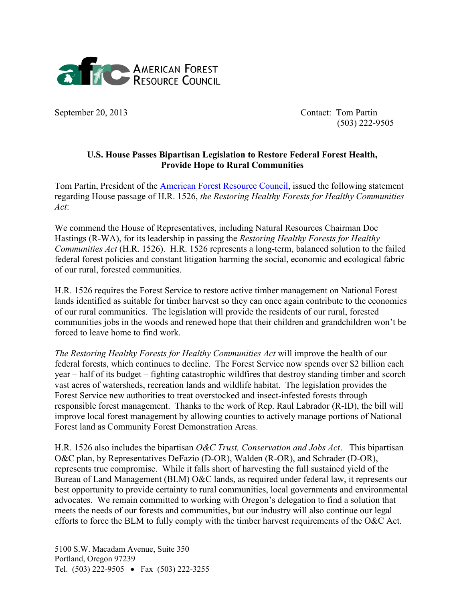

September 20, 2013 Contact: Tom Partin (503) 222-9505

## **U.S. House Passes Bipartisan Legislation to Restore Federal Forest Health, Provide Hope to Rural Communities**

Tom Partin, President of the [American Forest Resource Council,](http://www.amforest.org/) issued the following statement regarding House passage of H.R. 1526, *the Restoring Healthy Forests for Healthy Communities Act*:

We commend the House of Representatives, including Natural Resources Chairman Doc Hastings (R-WA), for its leadership in passing the *Restoring Healthy Forests for Healthy Communities Act* (H.R. 1526). H.R. 1526 represents a long-term, balanced solution to the failed federal forest policies and constant litigation harming the social, economic and ecological fabric of our rural, forested communities.

H.R. 1526 requires the Forest Service to restore active timber management on National Forest lands identified as suitable for timber harvest so they can once again contribute to the economies of our rural communities. The legislation will provide the residents of our rural, forested communities jobs in the woods and renewed hope that their children and grandchildren won't be forced to leave home to find work.

*The Restoring Healthy Forests for Healthy Communities Act* will improve the health of our federal forests, which continues to decline. The Forest Service now spends over \$2 billion each year – half of its budget – fighting catastrophic wildfires that destroy standing timber and scorch vast acres of watersheds, recreation lands and wildlife habitat. The legislation provides the Forest Service new authorities to treat overstocked and insect-infested forests through responsible forest management. Thanks to the work of Rep. Raul Labrador (R-ID), the bill will improve local forest management by allowing counties to actively manage portions of National Forest land as Community Forest Demonstration Areas.

H.R. 1526 also includes the bipartisan *O&C Trust, Conservation and Jobs Act*. This bipartisan O&C plan, by Representatives DeFazio (D-OR), Walden (R-OR), and Schrader (D-OR), represents true compromise. While it falls short of harvesting the full sustained yield of the Bureau of Land Management (BLM) O&C lands, as required under federal law, it represents our best opportunity to provide certainty to rural communities, local governments and environmental advocates. We remain committed to working with Oregon's delegation to find a solution that meets the needs of our forests and communities, but our industry will also continue our legal efforts to force the BLM to fully comply with the timber harvest requirements of the O&C Act.

5100 S.W. Macadam Avenue, Suite 350 Portland, Oregon 97239 Tel. (503) 222-9505 • Fax (503) 222-3255